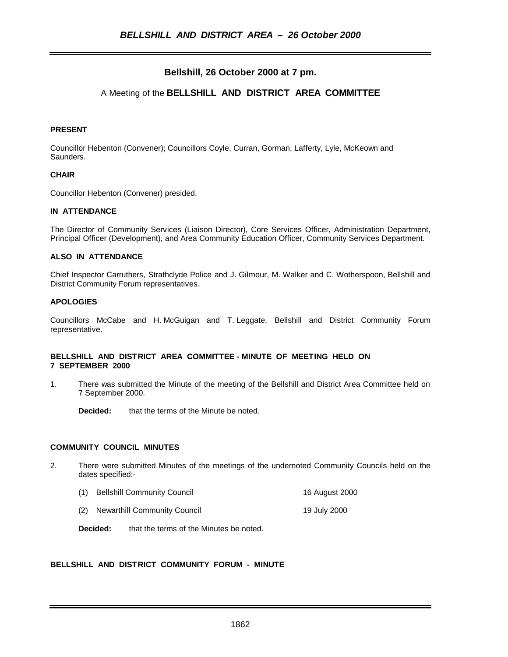# **Bellshill, 26 October 2000 at 7 pm.**

# A Meeting of the **BELLSHILL AND DISTRICT AREA COMMITTEE**

## **PRESENT**

Councillor Hebenton (Convener); Councillors Coyle, Curran, Gorman, Lafferty, Lyle, McKeown and Saunders.

### **CHAIR**

Councillor Hebenton (Convener) presided.

### **IN ATTENDANCE**

The Director of Community Services (Liaison Director), Core Services Officer, Administration Department, Principal Officer (Development), and Area Community Education Officer, Community Services Department.

### **ALSO IN ATTENDANCE**

Chief Inspector Carruthers, Strathclyde Police and J. Gilmour, M. Walker and C. Wotherspoon, Bellshill and District Community Forum representatives.

### **APOLOGIES**

Councillors McCabe and H. McGuigan and T. Leggate, Bellshill and District Community Forum representative.

#### **BELLSHILL AND DISTRICT AREA COMMITTEE - MINUTE OF MEETING HELD ON 7 SEPTEMBER 2000**

1. There was submitted the Minute of the meeting of the Bellshill and District Area Committee held on 7 September 2000.

**Decided:** that the terms of the Minute be noted.

### **COMMUNITY COUNCIL MINUTES**

- 2. There were submitted Minutes of the meetings of the undernoted Community Councils held on the dates specified:-
	- (1) Bellshill Community Council 16 August 2000
	- (2) Newarthill Community Council 19 July 2000

**Decided:** that the terms of the Minutes be noted.

### **BELLSHILL AND DISTRICT COMMUNITY FORUM - MINUTE**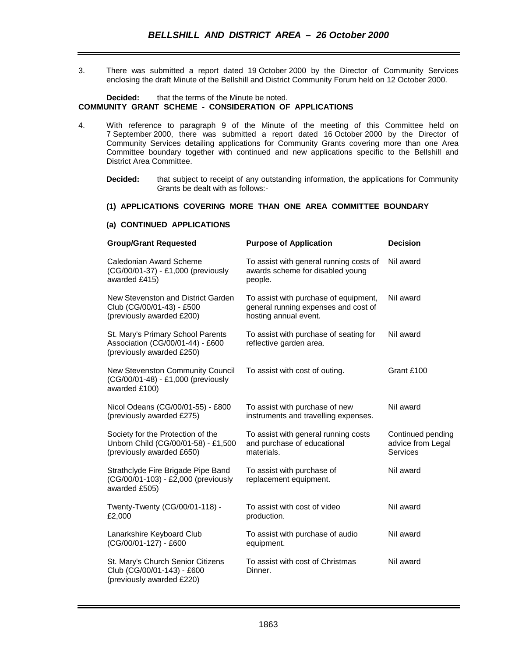3. There was submitted a report dated 19 October 2000 by the Director of Community Services enclosing the draft Minute of the Bellshill and District Community Forum held on 12 October 2000.

#### **Decided:** that the terms of the Minute be noted. **COMMUNITY GRANT SCHEME - CONSIDERATION OF APPLICATIONS**

- 4. With reference to paragraph 9 of the Minute of the meeting of this Committee held on 7 September 2000, there was submitted a report dated 16 October 2000 by the Director of Community Services detailing applications for Community Grants covering more than one Area Committee boundary together with continued and new applications specific to the Bellshill and District Area Committee.
	- **Decided:** that subject to receipt of any outstanding information, the applications for Community Grants be dealt with as follows:-

# **(1) APPLICATIONS COVERING MORE THAN ONE AREA COMMITTEE BOUNDARY**

#### **(a) CONTINUED APPLICATIONS**

| <b>Group/Grant Requested</b>                                                                          | <b>Purpose of Application</b>                                                                          | <b>Decision</b>                                    |
|-------------------------------------------------------------------------------------------------------|--------------------------------------------------------------------------------------------------------|----------------------------------------------------|
| Caledonian Award Scheme<br>(CG/00/01-37) - £1,000 (previously<br>awarded £415)                        | To assist with general running costs of<br>awards scheme for disabled young<br>people.                 | Nil award                                          |
| New Stevenston and District Garden<br>Club (CG/00/01-43) - £500<br>(previously awarded £200)          | To assist with purchase of equipment,<br>general running expenses and cost of<br>hosting annual event. | Nil award                                          |
| St. Mary's Primary School Parents<br>Association (CG/00/01-44) - £600<br>(previously awarded £250)    | To assist with purchase of seating for<br>reflective garden area.                                      | Nil award                                          |
| <b>New Stevenston Community Council</b><br>(CG/00/01-48) - £1,000 (previously<br>awarded £100)        | To assist with cost of outing.                                                                         | Grant £100                                         |
| Nicol Odeans (CG/00/01-55) - £800<br>(previously awarded £275)                                        | To assist with purchase of new<br>instruments and travelling expenses.                                 | Nil award                                          |
| Society for the Protection of the<br>Unborn Child (CG/00/01-58) - £1,500<br>(previously awarded £650) | To assist with general running costs<br>and purchase of educational<br>materials.                      | Continued pending<br>advice from Legal<br>Services |
| Strathclyde Fire Brigade Pipe Band<br>(CG/00/01-103) - £2,000 (previously<br>awarded £505)            | To assist with purchase of<br>replacement equipment.                                                   | Nil award                                          |
| Twenty-Twenty (CG/00/01-118) -<br>£2,000                                                              | To assist with cost of video<br>production.                                                            | Nil award                                          |
| Lanarkshire Keyboard Club<br>(CG/00/01-127) - £600                                                    | To assist with purchase of audio<br>equipment.                                                         | Nil award                                          |
| St. Mary's Church Senior Citizens<br>Club (CG/00/01-143) - £600<br>(previously awarded £220)          | To assist with cost of Christmas<br>Dinner.                                                            | Nil award                                          |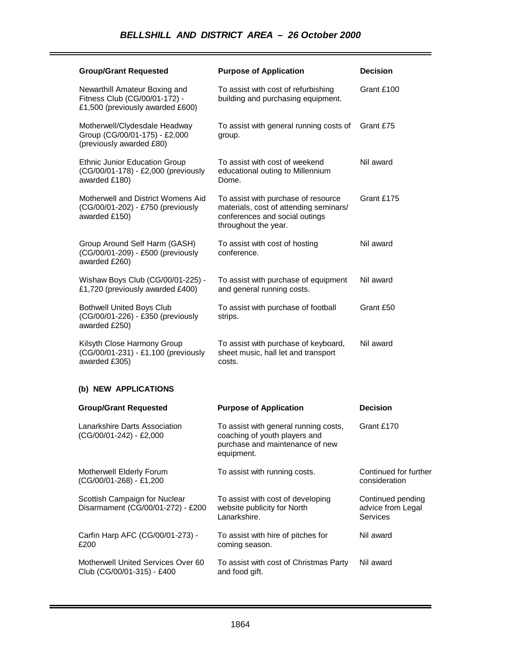| <b>Group/Grant Requested</b>                                                                       | <b>Purpose of Application</b>                                                                                                           | <b>Decision</b>                                           |
|----------------------------------------------------------------------------------------------------|-----------------------------------------------------------------------------------------------------------------------------------------|-----------------------------------------------------------|
| Newarthill Amateur Boxing and<br>Fitness Club (CG/00/01-172) -<br>£1,500 (previously awarded £600) | To assist with cost of refurbishing<br>building and purchasing equipment.                                                               | Grant £100                                                |
| Motherwell/Clydesdale Headway<br>Group (CG/00/01-175) - £2,000<br>(previously awarded £80)         | To assist with general running costs of<br>group.                                                                                       | Grant £75                                                 |
| <b>Ethnic Junior Education Group</b><br>(CG/00/01-178) - £2,000 (previously<br>awarded £180)       | To assist with cost of weekend<br>educational outing to Millennium<br>Dome.                                                             | Nil award                                                 |
| Motherwell and District Womens Aid<br>(CG/00/01-202) - £750 (previously<br>awarded £150)           | To assist with purchase of resource<br>materials, cost of attending seminars/<br>conferences and social outings<br>throughout the year. | Grant £175                                                |
| Group Around Self Harm (GASH)<br>(CG/00/01-209) - £500 (previously<br>awarded £260)                | To assist with cost of hosting<br>conference.                                                                                           | Nil award                                                 |
| Wishaw Boys Club (CG/00/01-225) -<br>£1,720 (previously awarded £400)                              | To assist with purchase of equipment<br>and general running costs.                                                                      | Nil award                                                 |
| <b>Bothwell United Boys Club</b><br>(CG/00/01-226) - £350 (previously<br>awarded £250)             | To assist with purchase of football<br>strips.                                                                                          | Grant £50                                                 |
| Kilsyth Close Harmony Group<br>(CG/00/01-231) - £1,100 (previously<br>awarded £305)                | To assist with purchase of keyboard,<br>sheet music, hall let and transport<br>costs.                                                   | Nil award                                                 |
| (b) NEW APPLICATIONS                                                                               |                                                                                                                                         |                                                           |
| <b>Group/Grant Requested</b>                                                                       | <b>Purpose of Application</b>                                                                                                           | <b>Decision</b>                                           |
| Lanarkshire Darts Association<br>(CG/00/01-242) - £2,000                                           | To assist with general running costs,<br>coaching of youth players and<br>purchase and maintenance of new<br>equipment.                 | Grant £170                                                |
| Motherwell Elderly Forum<br>(CG/00/01-268) - £1,200                                                | To assist with running costs.                                                                                                           | Continued for further<br>consideration                    |
| Scottish Campaign for Nuclear<br>Disarmament (CG/00/01-272) - £200                                 | To assist with cost of developing<br>website publicity for North<br>Lanarkshire.                                                        | Continued pending<br>advice from Legal<br><b>Services</b> |
| Carfin Harp AFC (CG/00/01-273) -<br>£200                                                           | To assist with hire of pitches for<br>coming season.                                                                                    | Nil award                                                 |
| Motherwell United Services Over 60<br>Club (CG/00/01-315) - £400                                   | To assist with cost of Christmas Party<br>and food gift.                                                                                | Nil award                                                 |

÷.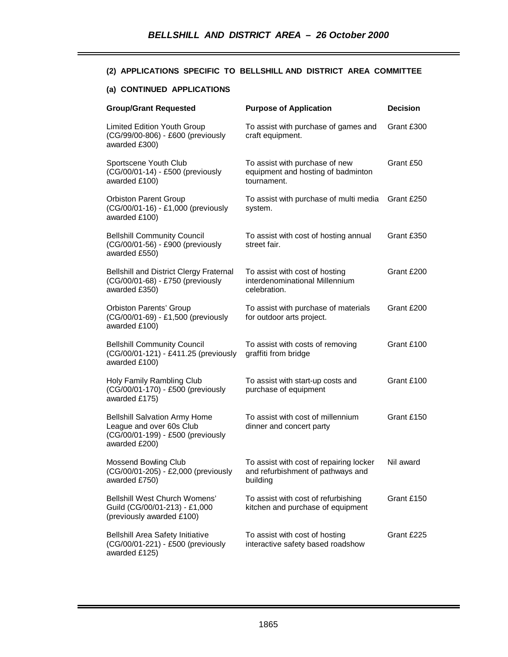## **(2) APPLICATIONS SPECIFIC TO BELLSHILL AND DISTRICT AREA COMMITTEE**

## **(a) CONTINUED APPLICATIONS**

| <b>Group/Grant Requested</b>                                                                                           | <b>Purpose of Application</b>                                                            | <b>Decision</b> |
|------------------------------------------------------------------------------------------------------------------------|------------------------------------------------------------------------------------------|-----------------|
| <b>Limited Edition Youth Group</b><br>(CG/99/00-806) - £600 (previously<br>awarded £300)                               | To assist with purchase of games and<br>craft equipment.                                 | Grant £300      |
| Sportscene Youth Club<br>(CG/00/01-14) - £500 (previously<br>awarded £100)                                             | To assist with purchase of new<br>equipment and hosting of badminton<br>tournament.      | Grant £50       |
| <b>Orbiston Parent Group</b><br>(CG/00/01-16) - £1,000 (previously<br>awarded £100)                                    | To assist with purchase of multi media<br>system.                                        | Grant £250      |
| <b>Bellshill Community Council</b><br>(CG/00/01-56) - £900 (previously<br>awarded £550)                                | To assist with cost of hosting annual<br>street fair.                                    | Grant £350      |
| <b>Bellshill and District Clergy Fraternal</b><br>(CG/00/01-68) - £750 (previously<br>awarded £350)                    | To assist with cost of hosting<br>interdenominational Millennium<br>celebration.         | Grant £200      |
| <b>Orbiston Parents' Group</b><br>(CG/00/01-69) - £1,500 (previously<br>awarded £100)                                  | To assist with purchase of materials<br>for outdoor arts project.                        | Grant £200      |
| <b>Bellshill Community Council</b><br>(CG/00/01-121) - £411.25 (previously<br>awarded £100)                            | To assist with costs of removing<br>graffiti from bridge                                 | Grant £100      |
| Holy Family Rambling Club<br>(CG/00/01-170) - £500 (previously<br>awarded £175)                                        | To assist with start-up costs and<br>purchase of equipment                               | Grant £100      |
| <b>Bellshill Salvation Army Home</b><br>League and over 60s Club<br>(CG/00/01-199) - £500 (previously<br>awarded £200) | To assist with cost of millennium<br>dinner and concert party                            | Grant £150      |
| <b>Mossend Bowling Club</b><br>(CG/00/01-205) - £2,000 (previously<br>awarded £750)                                    | To assist with cost of repairing locker<br>and refurbishment of pathways and<br>building | Nil award       |
| <b>Bellshill West Church Womens'</b><br>Guild (CG/00/01-213) - £1,000<br>(previously awarded £100)                     | To assist with cost of refurbishing<br>kitchen and purchase of equipment                 | Grant £150      |
| <b>Bellshill Area Safety Initiative</b><br>(CG/00/01-221) - £500 (previously<br>awarded £125)                          | To assist with cost of hosting<br>interactive safety based roadshow                      | Grant £225      |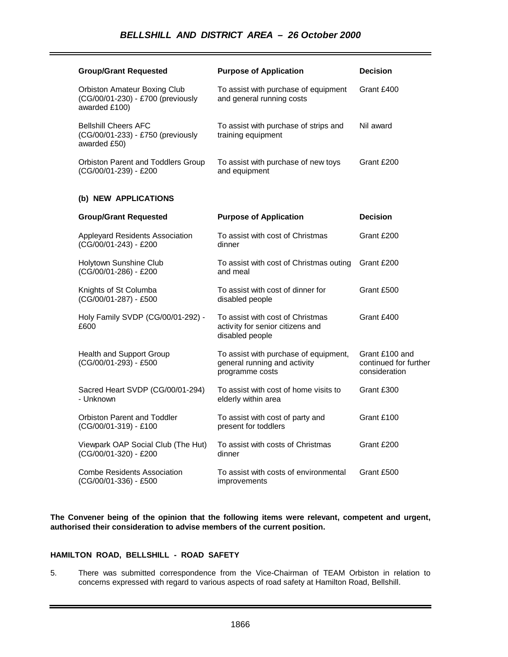| <b>Group/Grant Requested</b>                                                       | <b>Purpose of Application</b>                                                            | <b>Decision</b>                                          |
|------------------------------------------------------------------------------------|------------------------------------------------------------------------------------------|----------------------------------------------------------|
| Orbiston Amateur Boxing Club<br>(CG/00/01-230) - £700 (previously<br>awarded £100) | To assist with purchase of equipment<br>and general running costs                        | Grant £400                                               |
| <b>Bellshill Cheers AFC</b><br>(CG/00/01-233) - £750 (previously<br>awarded £50)   | To assist with purchase of strips and<br>training equipment                              | Nil award                                                |
| Orbiston Parent and Toddlers Group<br>(CG/00/01-239) - £200                        | To assist with purchase of new toys<br>and equipment                                     | Grant £200                                               |
| (b) NEW APPLICATIONS                                                               |                                                                                          |                                                          |
| <b>Group/Grant Requested</b>                                                       | <b>Purpose of Application</b>                                                            | <b>Decision</b>                                          |
| Appleyard Residents Association<br>(CG/00/01-243) - £200                           | To assist with cost of Christmas<br>dinner                                               | Grant £200                                               |
| Holytown Sunshine Club<br>(CG/00/01-286) - £200                                    | To assist with cost of Christmas outing<br>and meal                                      | Grant £200                                               |
| Knights of St Columba<br>(CG/00/01-287) - £500                                     | To assist with cost of dinner for<br>disabled people                                     | Grant £500                                               |
| Holy Family SVDP (CG/00/01-292) -<br>£600                                          | To assist with cost of Christmas<br>activity for senior citizens and<br>disabled people  | Grant £400                                               |
| <b>Health and Support Group</b><br>(CG/00/01-293) - £500                           | To assist with purchase of equipment,<br>general running and activity<br>programme costs | Grant £100 and<br>continued for further<br>consideration |
| Sacred Heart SVDP (CG/00/01-294)<br>- Unknown                                      | To assist with cost of home visits to<br>elderly within area                             | Grant £300                                               |
| Orbiston Parent and Toddler<br>(CG/00/01-319) - £100                               | To assist with cost of party and<br>present for toddlers                                 | Grant £100                                               |
| Viewpark OAP Social Club (The Hut)<br>(CG/00/01-320) - £200                        | To assist with costs of Christmas<br>dinner                                              | Grant £200                                               |
| <b>Combe Residents Association</b><br>(CG/00/01-336) - £500                        | To assist with costs of environmental<br>improvements                                    | Grant £500                                               |

**The Convener being of the opinion that the following items were relevant, competent and urgent, authorised their consideration to advise members of the current position.**

## **HAMILTON ROAD, BELLSHILL - ROAD SAFETY**

5. There was submitted correspondence from the Vice-Chairman of TEAM Orbiston in relation to concerns expressed with regard to various aspects of road safety at Hamilton Road, Bellshill.